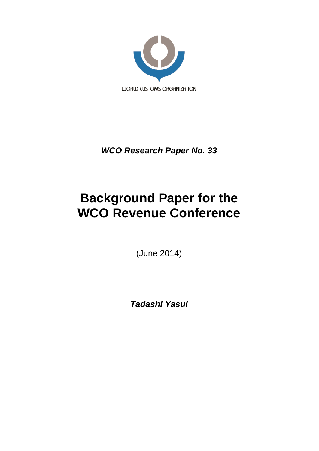

*WCO Research Paper No. 33*

# **Background Paper for the WCO Revenue Conference**

(June 2014)

*Tadashi Yasui*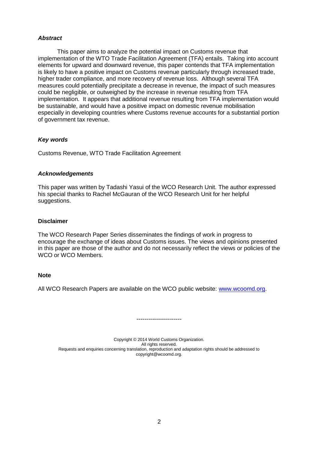## *Abstract*

This paper aims to analyze the potential impact on Customs revenue that implementation of the WTO Trade Facilitation Agreement (TFA) entails. Taking into account elements for upward and downward revenue, this paper contends that TFA implementation is likely to have a positive impact on Customs revenue particularly through increased trade, higher trader compliance, and more recovery of revenue loss. Although several TFA measures could potentially precipitate a decrease in revenue, the impact of such measures could be negligible, or outweighed by the increase in revenue resulting from TFA implementation. It appears that additional revenue resulting from TFA implementation would be sustainable, and would have a positive impact on domestic revenue mobilisation especially in developing countries where Customs revenue accounts for a substantial portion of government tax revenue.

## *Key words*

Customs Revenue, WTO Trade Facilitation Agreement

## *Acknowledgements*

This paper was written by Tadashi Yasui of the WCO Research Unit. The author expressed his special thanks to Rachel McGauran of the WCO Research Unit for her helpful suggestions.

## **Disclaimer**

The WCO Research Paper Series disseminates the findings of work in progress to encourage the exchange of ideas about Customs issues. The views and opinions presented in this paper are those of the author and do not necessarily reflect the views or policies of the WCO or WCO Members.

## **Note**

All WCO Research Papers are available on the WCO public website: [www.wcoomd.org.](http://www.wcoomd.org/)

Copyright © 2014 World Customs Organization. All rights reserved. Requests and enquiries concerning translation, reproduction and adaptation rights should be addressed to copyright@wcoomd.org.

-----------------------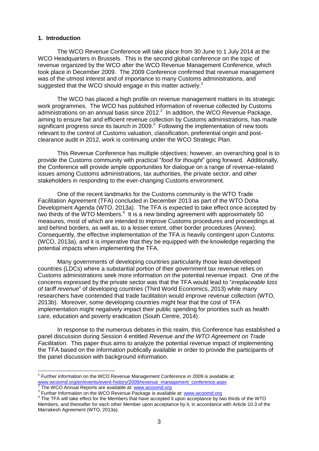## **1. Introduction**

The WCO Revenue Conference will take place from 30 June to 1 July 2014 at the WCO Headquarters in Brussels. This is the second global conference on the topic of revenue organized by the WCO after the WCO Revenue Management Conference, which took place in December 2009. The 2009 Conference confirmed that revenue management was of the utmost interest and of importance to many Customs administrations, and suggested that the WCO should engage in this matter actively.<sup>1</sup>

The WCO has placed a high profile on revenue management matters in its strategic work programmes. The WCO has published information of revenue collected by Customs administrations on an annual basis since 2012. $^2$  In addition, the WCO Revenue Package, aiming to ensure fair and efficient revenue collection by Customs administrations, has made significant progress since its launch in 2009. $3$  Following the implementation of new tools relevant to the control of Customs valuation, classification, preferential origin and postclearance audit in 2012, work is continuing under the WCO Strategic Plan.

This Revenue Conference has multiple objectives; however, an overarching goal is to provide the Customs community with practical "*food for thought*" going forward. Additionally, the Conference will provide ample opportunities for dialogue on a range of revenue-related issues among Customs administrations, tax authorities, the private sector, and other stakeholders in responding to the ever-changing Customs environment.

One of the recent landmarks for the Customs community is the WTO Trade Facilitation Agreement (TFA) concluded in December 2013 as part of the WTO Doha Development Agenda (WTO, 2013a). The TFA is expected to take effect once accepted by two thirds of the WTO Members.<sup>4</sup> It is a new binding agreement with approximately 50 measures, most of which are intended to improve Customs procedures and proceedings at and behind borders, as well as, to a lesser extent, other border procedures (Annex). Consequently, the effective implementation of the TFA is heavily contingent upon Customs (WCO, 2013a), and it is imperative that they be equipped with the knowledge regarding the potential impacts when implementing the TFA.

Many governments of developing countries particularity those least-developed countries (LDCs) where a substantial portion of their government tax revenue relies on Customs administrations seek more information on the potential revenue impact. One of the concerns expressed by the private sector was that the TFA would lead to "*irreplaceable loss of tariff revenue*" of developing countries (Third World Economics, 2013) while many researchers have contended that trade facilitation would improve revenue collection (WTO, 2013b). Moreover, some developing countries might fear that the cost of TFA implementation might negatively impact their public spending for priorities such as health care, education and poverty eradication (South Centre, 2014).

In response to the numerous debates in this realm, this Conference has established a panel discussion during Session 4 entitled *Revenue and the WTO Agreement on Trade Facilitation*. This paper thus aims to analyze the potential revenue impact of implementing the TFA based on the information publically available in order to provide the participants of the panel discussion with background information.

TERT THE TRIM THE TRIM THE TRIM THE TRIM THE TRIM THE TRIM THE TRIM THE TRIM THE TRIM THE TRIM THE TRIM THE TRI<br>The Wangement Conference in 2009 is available at: [www.wcoomd.org/en/events/event-history/2009/revenue\\_management\\_conference.aspx](http://www.wcoomd.org/en/events/event-history/2009/revenue_management_conference.aspx)<br><sup>2</sup> The WCO Appuel Benerte are available at variavinessme are

The WCO Annual Reports are available at: [www.wcoomd.org](http://www.wcoomd.org/)

<sup>&</sup>lt;sup>3</sup> Further Information on the WCO Revenue Package is available at: www.wcoomd.org

<sup>&</sup>lt;sup>4</sup> The TFA will take effect for the Members that have accepted it upon acceptance by two thirds of the WTO Members, and thereafter for each other Member upon acceptance by it, in accordance with Article 10.3 of the Marrakesh Agreement (WTO, 2013a).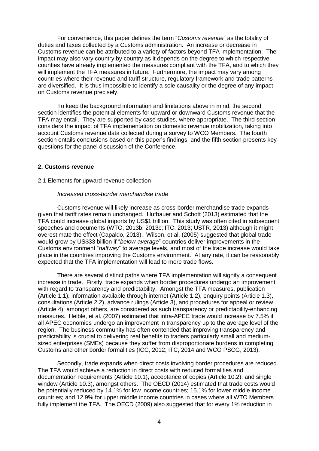For convenience, this paper defines the term "*Customs revenue*" as the totality of duties and taxes collected by a Customs administration. An increase or decrease in Customs revenue can be attributed to a variety of factors beyond TFA implementation. The impact may also vary country by country as it depends on the degree to which respective counties have already implemented the measures compliant with the TFA, and to which they will implement the TFA measures in future. Furthermore, the impact may vary among countries where their revenue and tariff structure, regulatory framework and trade patterns are diversified. It is thus impossible to identify a sole causality or the degree of any impact on Customs revenue precisely.

To keep the background information and limitations above in mind, the second section identifies the potential elements for upward or downward Customs revenue that the TFA may entail. They are supported by case studies, where appropriate. The third section considers the impact of TFA implementation on domestic revenue mobilization, taking into account Customs revenue data collected during a survey to WCO Members. The fourth section entails conclusions based on this paper's findings, and the fifth section presents key questions for the panel discussion of the Conference.

#### **2. Customs revenue**

#### 2.1 Elements for upward revenue collection

#### *Increased cross-border merchandise trade*

Customs revenue will likely increase as cross-border merchandise trade expands given that tariff rates remain unchanged. Hufbauer and Schott (2013) estimated that the TFA could increase global imports by US\$1 trillion. This study was often cited in subsequent speeches and documents (WTO, 2013b; 2013c; ITC, 2013; USTR, 2013) although it might overestimate the effect (Capaldo, 2013). Wilson, et al. (2005) suggested that global trade would grow by US\$33 billion if "*below-average*" countries deliver improvements in the Customs environment "*halfway*" to average levels, and most of the trade increase would take place in the countries improving the Customs environment. At any rate, it can be reasonably expected that the TFA implementation will lead to more trade flows.

There are several distinct paths where TFA implementation will signify a consequent increase in trade. Firstly, trade expands when border procedures undergo an improvement with regard to transparency and predictability. Amongst the TFA measures, publication (Article 1.1), information available through internet (Article 1.2), enquiry points (Article 1.3), consultations (Article 2.2), advance rulings (Article 3), and procedures for appeal or review (Article 4), amongst others, are considered as such transparency or predictability-enhancing measures. Helble, et al. (2007) estimated that intra-APEC trade would increase by 7.5% if all APEC economies undergo an improvement in transparency up to the average level of the region. The business community has often contended that improving transparency and predictability is crucial to delivering real benefits to traders particularly small and mediumsized enterprises (SMEs) because they suffer from disproportionate burdens in completing Customs and other border formalities (ICC, 2012; ITC, 2014 and WCO PSCG, 2013).

Secondly, trade expands when direct costs involving border procedures are reduced. The TFA would achieve a reduction in direct costs with reduced formalities and documentation requirements (Article 10.1), acceptance of copies (Article 10.2), and single window (Article 10.3), amongst others. The OECD (2014) estimated that trade costs would be potentially reduced by 14.1% for low income countries; 15.1% for lower middle income countries; and 12.9% for upper middle income countries in cases where all WTO Members fully implement the TFA. The OECD (2009) also suggested that for every 1% reduction in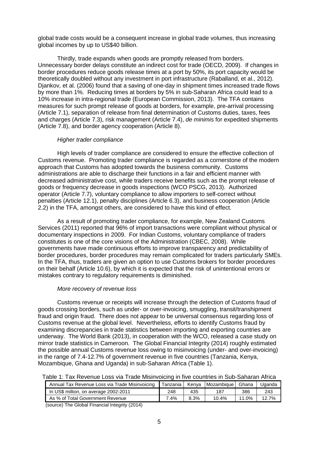global trade costs would be a consequent increase in global trade volumes, thus increasing global incomes by up to US\$40 billion.

Thirdly, trade expands when goods are promptly released from borders. Unnecessary border delays constitute an indirect cost for trade (OECD, 2009). If changes in border procedures reduce goods release times at a port by 50%, its port capacity would be theoretically doubled without any investment in port infrastructure (Raballand, et al., 2012). Djankov, et al. (2006) found that a saving of one-day in shipment times increased trade flows by more than 1%. Reducing times at borders by 5% in sub-Saharan Africa could lead to a 10% increase in intra-regional trade (European Commission, 2013). The TFA contains measures for such prompt release of goods at borders, for example, pre-arrival processing (Article 7.1), separation of release from final determination of Customs duties, taxes, fees and charges (Article 7.3), risk management (Article 7.4), *de minimis* for expedited shipments (Article 7.8), and border agency cooperation (Article 8).

#### *Higher trader compliance*

High levels of trader compliance are considered to ensure the effective collection of Customs revenue. Promoting trader compliance is regarded as a cornerstone of the modern approach that Customs has adopted towards the business community. Customs administrations are able to discharge their functions in a fair and efficient manner with decreased administrative cost, while traders receive benefits such as the prompt release of goods or frequency decrease in goods inspections (WCO PSCG, 2013). Authorized operator (Article 7.7), voluntary compliance to allow importers to self-correct without penalties (Article 12.1), penalty disciplines (Article 6.3), and business cooperation (Article 2.2) in the TFA, amongst others, are considered to have this kind of effect.

As a result of promoting trader compliance, for example, New Zealand Customs Services (2011) reported that 96% of import transactions were compliant without physical or documentary inspections in 2009. For Indian Customs, voluntary compliance of traders constitutes is one of the core visions of the Administration (CBEC, 2008). While governments have made continuous efforts to improve transparency and predictability of border procedures, border procedures may remain complicated for traders particularly SMEs. In the TFA, thus, traders are given an option to use Customs brokers for border procedures on their behalf (Article 10.6), by which it is expected that the risk of unintentional errors or mistakes contrary to regulatory requirements is diminished.

#### *More recovery of revenue loss*

Customs revenue or receipts will increase through the detection of Customs fraud of goods crossing borders, such as under- or over-invoicing, smuggling, transit/transhipment fraud and origin fraud. There does not appear to be universal consensus regarding loss of Customs revenue at the global level. Nevertheless, efforts to identify Customs fraud by examining discrepancies in trade statistics between importing and exporting countries are underway. The World Bank (2013), in cooperation with the WCO, released a case study on mirror trade statistics in Cameroon. The Global Financial Integrity (2014) roughly estimated the possible annual Customs revenue loss owing to misinvoicing (under- and over-invoicing) in the range of 7.4-12.7% of government revenue in five countries (Tanzania, Kenya, Mozambique, Ghana and Uganda) in sub-Saharan Africa (Table 1).

Table 1: Tax Revenue Loss via Trade Misinvoicing in five countries in Sub-Saharan Africa

| Annual Tax Revenue Loss via Trade Misinvoicing |      |      | <b>I Tanzania   Kenva   Mozambique   Ghana</b> |       | Uganda |
|------------------------------------------------|------|------|------------------------------------------------|-------|--------|
| In US\$ million, on average 2002-2011          | 248  | 435  | 187                                            | 386   | 243    |
| As % of Total Government Revenue               | 7.4% | 8.3% | 10.4%                                          | 11.0% | 12.7%  |

(source) The Global Financial Integrity (2014)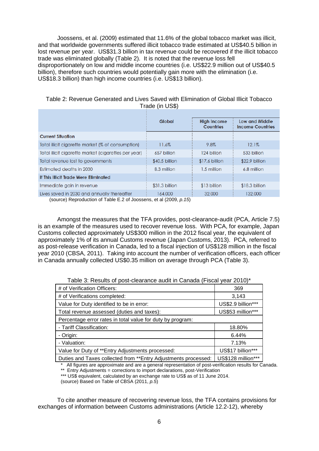Joossens, et al. (2009) estimated that 11.6% of the global tobacco market was illicit, and that worldwide governments suffered illicit tobacco trade estimated at US\$40.5 billion in lost revenue per year. US\$31.3 billion in tax revenue could be recovered if the illicit tobacco trade was eliminated globally (Table 2). It is noted that the revenue loss fell disproportionately on low and middle income countries (i.e. US\$22.9 million out of US\$40.5 billion), therefore such countries would potentially gain more with the elimination (i.e. US\$18.3 billion) than high income countries (i.e. US\$13 billion).

|                                                      | $11000 \times 111000$                     |                |                                           |  |
|------------------------------------------------------|-------------------------------------------|----------------|-------------------------------------------|--|
|                                                      |                                           |                |                                           |  |
|                                                      | <b>High Income</b><br>Global<br>Countries |                | Low and Middle<br><b>Income Countries</b> |  |
| <b>Current Situation</b>                             |                                           |                |                                           |  |
| Total illicit cigarette market (% of consumption)    | 11.6%                                     | 9.8%           | 12.1%                                     |  |
| Total illicit cigarette market (cigarettes per year) | 657 billion                               | 124 billion    | 533 billion                               |  |
| Total revenue lost to governments                    | \$40.5 billion                            | \$17.6 billion | \$22.9 billion                            |  |
| Estimated deaths in 2030                             | 8.3 million                               | 1.5 million    | 6.8 million                               |  |
| If This Illicit Trade Were Eliminated                |                                           |                |                                           |  |
| Immediate gain in revenue                            | \$31.3 billion                            | \$13 billion   | \$18.3 billion                            |  |
| Lives saved in 2030 and annually thereafter          | 164,000                                   | 32,000         | 132,000                                   |  |
| $(equation of Table 5.2 of logspace of 10000 n 15)$  |                                           |                |                                           |  |

| Table 2: Revenue Generated and Lives Saved with Elimination of Global Illicit Tobacco |                 |  |  |
|---------------------------------------------------------------------------------------|-----------------|--|--|
|                                                                                       | Trade (in US\$) |  |  |

(source) Reproduction of Table E.2 of Joossens, et al (2009, *p.15*)

Amongst the measures that the TFA provides, post-clearance-audit (PCA, Article 7.5) is an example of the measures used to recover revenue loss. With PCA, for example, Japan Customs collected approximately US\$300 million in the 2012 fiscal year, the equivalent of approximately 1% of its annual Customs revenue (Japan Customs, 2013). PCA, referred to as post-release verification in Canada, led to a fiscal injection of US\$128 million in the fiscal year 2010 (CBSA, 2011). Taking into account the number of verification officers, each officer in Canada annually collected US\$0.35 million on average through PCA (Table 3).

|--|

| # of Verification Officers:                                     | 369                |
|-----------------------------------------------------------------|--------------------|
| # of Verifications completed:                                   | 3,143              |
| Value for Duty identified to be in error:                       | US\$2.9 billion*** |
| Total revenue assessed (duties and taxes):                      | US\$53 million***  |
| Percentage error rates in total value for duty by program:      |                    |
| - Tariff Classification:                                        | 18.80%             |
| - Origin:                                                       | 6.44%              |
| - Valuation:                                                    | 7.13%              |
| Value for Duty of **Entry Adjustments processed:                | US\$17 billion***  |
| Duties and Taxes collected from ** Entry Adjustments processed: | US\$128 million*** |

\* All figures are approximate and are a general representation of post-verification results for Canada.

\*\* Entry Adjustments = corrections to import declarations, post-Verification

\*\*\* US\$ equivalent, calculated by an exchange rate to US\$ as of 11 June 2014.

(source) Based on Table of CBSA (2011, *p.5*)

To cite another measure of recovering revenue loss, the TFA contains provisions for exchanges of information between Customs administrations (Article 12.2-12), whereby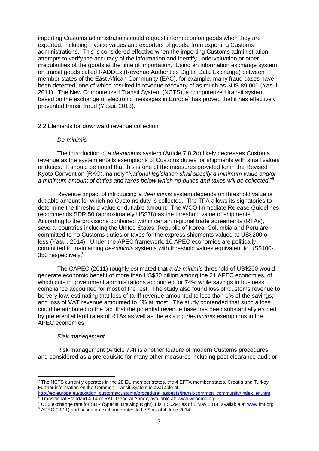importing Customs administrations could request information on goods when they are exported, including invoice values and exporters of goods, from exporting Customs administrations. This is considered effective when the importing Customs administration attempts to verify the accuracy of the information and identify undervaluation or other irregularities of the goods at the time of importation. Using an information exchange system on transit goods called RADDEx (Revenue Authorities Digital Data Exchange) between member states of the East African Community (EAC), for example, many fraud cases have been detected, one of which resulted in revenue recovery of as much as \$US 89,000 (Yasui, 2011). The New Computerized Transit System (NCTS), a computerized transit system based on the exchange of electronic messages in Europe<sup>5</sup> has proved that it has effectively prevented transit fraud (Yasui, 2013).

#### 2.2 Elements for downward revenue collection

#### *De-minimis*

The introduction of a *de-minimis* system (Article 7.8.2d) likely decreases Customs revenue as the system entails exemptions of Customs duties for shipments with small values or duties. It should be noted that this is one of the measures provided for in the Revised Kyoto Convention (RKC), namely "*National legislation shall specify a minimum value and/or a minimum amount of duties and taxes below which no duties and taxes will be collected*."<sup>6</sup>

Revenue impact of introducing a *de-minimis* system depends on threshold value or dutiable amount for which no Customs duty is collected. The TFA allows its signatories to determine the threshold value or dutiable amount. The WCO Immediate Release Guidelines recommends SDR 50 (approximately US\$78) as the threshold value of shipments.<sup>7</sup> According to the provisions contained within certain regional trade agreements (RTAs), several countries including the United States, Republic of Korea, Columbia and Peru are committed to no Customs duties or taxes for the express shipments valued at US\$200 or less (Yasui, 2014). Under the APEC framework, 10 APEC economies are politically committed to maintaining *de-minimis* systems with threshold values equivalent to US\$100- 350 respectively.<sup>8</sup>

The CAPEC (2011) roughly estimated that a *de-minimis* threshold of US\$200 would generate economic benefit of more than US\$30 billion among the 21 APEC economies, of which cuts in government administrations accounted for 74% while savings in business compliance accounted for most of the rest. The study also found loss of Customs revenue to be very low, estimating that loss of tariff revenue amounted to less than 1% of the savings; and loss of VAT revenue amounted to 4% at most. The study contended that such a loss could be attributed to the fact that the potential revenue base has been substantially eroded by preferential tariff rates of RTAs as well as the existing *de-minimis* exemptions in the APEC economies.

#### *Risk management*

Risk management (Article 7.4) is another feature of modern Customs procedures, and considered as a prerequisite for many other measures including post-clearance audit or

<sup>&</sup>lt;u>Fild the NCTS currently operates in the 28 EU member states, the 4 EFTA member states, Croatia and Turkey.</u><br><sup>5</sup> The NCTS currently operates in the 28 EU member states, the 4 EFTA member states, Croatia and Turkey. Further information on the Common Transit System is available at:

[http://ec.europa.eu/taxation\\_customs/customs/procedural\\_aspects/transit/common\\_community/index\\_en.htm](http://ec.europa.eu/taxation_customs/customs/procedural_aspects/transit/common_community/index_en.htm) 6 Transitional Standard 4.14 of RKC General Annex, available at: [www.wcoomd.org](http://www.wcoomd.org/)

 $^7$  US\$ exchange rate for SDR (Special Drawing Right) 1 is 1.55292 as of 1 May 2014, available at [www.imf.org](http://www.imf.org/)  $^8$  APEC (2011) and based on exchange rates to US\$ as of 4 June 2014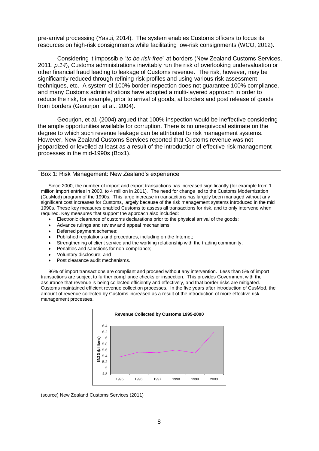pre-arrival processing (Yasui, 2014). The system enables Customs officers to focus its resources on high-risk consignments while facilitating low-risk consignments (WCO, 2012).

Considering it impossible "*to be risk-free*" at borders (New Zealand Customs Services, 2011, *p.14*), Customs administrations inevitably run the risk of overlooking undervaluation or other financial fraud leading to leakage of Customs revenue. The risk, however, may be significantly reduced through refining risk profiles and using various risk assessment techniques, etc. A system of 100% border inspection does not guarantee 100% compliance, and many Customs administrations have adopted a multi-layered approach in order to reduce the risk, for example, prior to arrival of goods, at borders and post release of goods from borders (Geourjon, et al., 2004).

Geourjon, et al. (2004) argued that 100% inspection would be ineffective considering the ample opportunities available for corruption. There is no unequivocal estimate on the degree to which such revenue leakage can be attributed to risk management systems. However, New Zealand Customs Services reported that Customs revenue was not jeopardized or levelled at least as a result of the introduction of effective risk management processes in the mid-1990s (Box1).

#### Box 1: Risk Management: New Zealand's experience

Since 2000, the number of import and export transactions has increased significantly (for example from 1 million import entries in 2000, to 4 million in 2011). The need for change led to the Customs Modernization (CusMod) program of the 1990s. This large increase in transactions has largely been managed without any significant cost increases for Customs, largely because of the risk management systems introduced in the mid 1990s. These key measures enabled Customs to assess all transactions for risk, and to only intervene when required. Key measures that support the approach also included:

- Electronic clearance of customs declarations prior to the physical arrival of the goods;
- Advance rulings and review and appeal mechanisms;
- Deferred payment schemes;
- Published regulations and procedures, including on the Internet;
- Strengthening of client service and the working relationship with the trading community;
- Penalties and sanctions for non-compliance;
- Voluntary disclosure; and
- Post clearance audit mechanisms.

96% of import transactions are compliant and proceed without any intervention. Less than 5% of import transactions are subject to further compliance checks or inspection. This provides Government with the assurance that revenue is being collected efficiently and effectively, and that border risks are mitigated. Customs maintained efficient revenue collection processes. In the five years after introduction of CusMod, the amount of revenue collected by Customs increased as a result of the introduction of more effective risk management processes.



(source) New Zealand Customs Services (2011)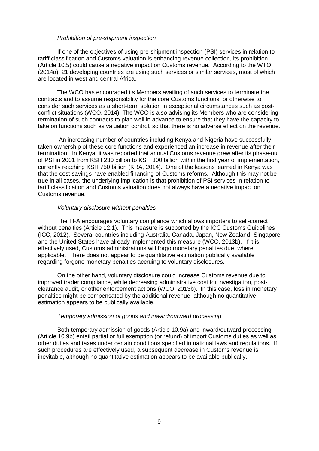#### *Prohibition of pre-shipment inspection*

If one of the objectives of using pre-shipment inspection (PSI) services in relation to tariff classification and Customs valuation is enhancing revenue collection, its prohibition (Article 10.5) could cause a negative impact on Customs revenue. According to the WTO (2014a), 21 developing countries are using such services or similar services, most of which are located in west and central Africa.

The WCO has encouraged its Members availing of such services to terminate the contracts and to assume responsibility for the core Customs functions, or otherwise to consider such services as a short-term solution in exceptional circumstances such as postconflict situations (WCO, 2014). The WCO is also advising its Members who are considering termination of such contracts to plan well in advance to ensure that they have the capacity to take on functions such as valuation control, so that there is no adverse effect on the revenue.

An increasing number of countries including Kenya and Nigeria have successfully taken ownership of these core functions and experienced an increase in revenue after their termination. In Kenya, it was reported that annual Customs revenue grew after its phase-out of PSI in 2001 from KSH 230 billion to KSH 300 billion within the first year of implementation, currently reaching KSH 750 billion (KRA, 2014). One of the lessons learned in Kenya was that the cost savings have enabled financing of Customs reforms. Although this may not be true in all cases, the underlying implication is that prohibition of PSI services in relation to tariff classification and Customs valuation does not always have a negative impact on Customs revenue.

#### *Voluntary disclosure without penalties*

The TFA encourages voluntary compliance which allows importers to self-correct without penalties (Article 12.1). This measure is supported by the ICC Customs Guidelines (ICC, 2012). Several countries including Australia, Canada, Japan, New Zealand, Singapore, and the United States have already implemented this measure (WCO, 2013b). If it is effectively used, Customs administrations will forgo monetary penalties due, where applicable. There does not appear to be quantitative estimation publically available regarding forgone monetary penalties accruing to voluntary disclosures.

On the other hand, voluntary disclosure could increase Customs revenue due to improved trader compliance, while decreasing administrative cost for investigation, postclearance audit, or other enforcement actions (WCO, 2013b). In this case, loss in monetary penalties might be compensated by the additional revenue, although no quantitative estimation appears to be publically available.

## *Temporary admission of goods and inward/outward processing*

Both temporary admission of goods (Article 10.9a) and inward/outward processing (Article 10.9b) entail partial or full exemption (or refund) of import Customs duties as well as other duties and taxes under certain conditions specified in national laws and regulations. If such procedures are effectively used, a subsequent decrease in Customs revenue is inevitable, although no quantitative estimation appears to be available publically.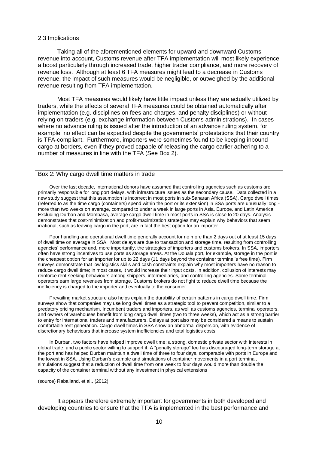#### 2.3 Implications

Taking all of the aforementioned elements for upward and downward Customs revenue into account, Customs revenue after TFA implementation will most likely experience a boost particularly through increased trade, higher trader compliance, and more recovery of revenue loss. Although at least 6 TFA measures might lead to a decrease in Customs revenue, the impact of such measures would be negligible, or outweighed by the additional revenue resulting from TFA implementation.

Most TFA measures would likely have little impact unless they are actually utilized by traders, while the effects of several TFA measures could be obtained automatically after implementation (e.g. disciplines on fees and charges, and penalty disciplines) or without relying on traders (e.g. exchange information between Customs administrations). In cases where no advance ruling is issued after the introduction of an advance ruling system, for example, no effect can be expected despite the governments' protestations that their country is TFA-compliant. Furthermore, importers were sometimes found to be keeping inbound cargo at borders, even if they proved capable of releasing the cargo earlier adhering to a number of measures in line with the TFA (See Box 2).

## Box 2: Why cargo dwell time matters in trade

Over the last decade, international donors have assumed that controlling agencies such as customs are primarily responsible for long port delays, with infrastructure issues as the secondary cause. Data collected in a new study suggest that this assumption is incorrect in most ports in sub-Saharan Africa (SSA). Cargo dwell times (referred to as the time cargo (containers) spend within the port or its extension) in SSA ports are unusually long more than two weeks on average, compared to under a week in large ports in Asia, Europe, and Latin America. Excluding Durban and Mombasa, average cargo dwell time in most ports in SSA is close to 20 days. Analysis demonstrates that cost-minimization and profit-maximization strategies may explain why behaviors that seem irrational, such as leaving cargo in the port, are in fact the best option for an importer.

Poor handling and operational dwell time generally account for no more than 2 days out of at least 15 days of dwell time on average in SSA. Most delays are due to transaction and storage time, resulting from controlling agencies' performance and, more importantly, the strategies of importers and customs brokers. In SSA, importers often have strong incentives to use ports as storage areas. At the Douala port, for example, storage in the port is the cheapest option for an importer for up to 22 days (11 days beyond the container terminal's free time). Firm surveys demonstrate that low logistics skills and cash constraints explain why most importers have no reason to reduce cargo dwell time; in most cases, it would increase their input costs. In addition, collusion of interests may reinforce rent-seeking behaviours among shippers, intermediaries, and controlling agencies. Some terminal operators earn large revenues from storage. Customs brokers do not fight to reduce dwell time because the inefficiency is charged to the importer and eventually to the consumer.

Prevailing market structure also helps explain the durability of certain patterns in cargo dwell time. Firm surveys show that companies may use long dwell times as a strategic tool to prevent competition, similar to a predatory pricing mechanism. Incumbent traders and importers, as well as customs agencies, terminal operators, and owners of warehouses benefit from long cargo dwell times (two to three weeks), which act as a strong barrier to entry for international traders and manufacturers. Delays at port also may be considered a means to sustain comfortable rent generation. Cargo dwell times in SSA show an abnormal dispersion, with evidence of discretionary behaviours that increase system inefficiencies and total logistics costs.

In Durban, two factors have helped improve dwell time: a strong, domestic private sector with interests in global trade, and a public sector willing to support it. A "penalty storage" fee has discouraged long-term storage at the port and has helped Durban maintain a dwell time of three to four days, comparable with ports in Europe and the lowest in SSA. Using Durban's example and simulations of container movements in a port terminal, simulations suggest that a reduction of dwell time from one week to four days would more than double the capacity of the container terminal without any investment in physical extensions

#### (source) Raballand, et al., (2012)

It appears therefore extremely important for governments in both developed and developing countries to ensure that the TFA is implemented in the best performance and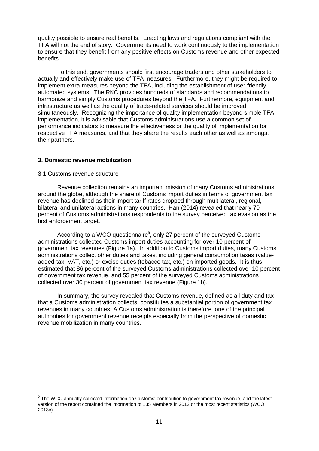quality possible to ensure real benefits. Enacting laws and regulations compliant with the TFA will not the end of story. Governments need to work continuously to the implementation to ensure that they benefit from any positive effects on Customs revenue and other expected benefits.

To this end, governments should first encourage traders and other stakeholders to actually and effectively make use of TFA measures. Furthermore, they might be required to implement extra-measures beyond the TFA, including the establishment of user-friendly automated systems. The RKC provides hundreds of standards and recommendations to harmonize and simply Customs procedures beyond the TFA. Furthermore, equipment and infrastructure as well as the quality of trade-related services should be improved simultaneously. Recognizing the importance of quality implementation beyond simple TFA implementation, it is advisable that Customs administrations use a common set of performance indicators to measure the effectiveness or the quality of implementation for respective TFA measures, and that they share the results each other as well as amongst their partners.

## **3. Domestic revenue mobilization**

#### 3.1 Customs revenue structure

Revenue collection remains an important mission of many Customs administrations around the globe, although the share of Customs import duties in terms of government tax revenue has declined as their import tariff rates dropped through multilateral, regional, bilateral and unilateral actions in many countries. Han (2014) revealed that nearly 70 percent of Customs administrations respondents to the survey perceived tax evasion as the first enforcement target.

According to a WCO questionnaire<sup>9</sup>, only 27 percent of the surveyed Customs administrations collected Customs import duties accounting for over 10 percent of government tax revenues (Figure 1a). In addition to Customs import duties, many Customs administrations collect other duties and taxes, including general consumption taxes (valueadded-tax: VAT, etc.) or excise duties (tobacco tax, etc.) on imported goods. It is thus estimated that 86 percent of the surveyed Customs administrations collected over 10 percent of government tax revenue, and 55 percent of the surveyed Customs administrations collected over 30 percent of government tax revenue (Figure 1b).

In summary, the survey revealed that Customs revenue, defined as all duty and tax that a Customs administration collects, constitutes a substantial portion of government tax revenues in many countries. A Customs administration is therefore tone of the principal authorities for government revenue receipts especially from the perspective of domestic revenue mobilization in many countries.

 $9$  The WCO annually collected information on Customs' contribution to government tax revenue, and the latest version of the report contained the information of 135 Members in 2012 or the most recent statistics (WCO, 2013c).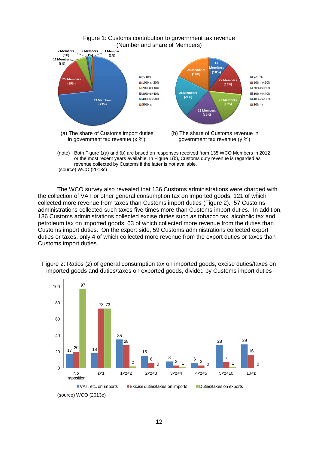

(note) Both Figure 1(a) and (b) are based on responses received from 135 WCO Members in 2012 or the most recent years available. In Figure 1(b), Customs duty revenue is regarded as revenue collected by Customs if the latter is not available. (source) WCO (2013c)

The WCO survey also revealed that 136 Customs administrations were charged with the collection of VAT or other general consumption tax on imported goods, 121 of which collected more revenue from taxes than Customs import duties (Figure 2). 57 Customs administrations collected such taxes five times more than Customs import duties. In addition, 136 Customs administrations collected excise duties such as tobacco tax, alcoholic tax and petroleum tax on imported goods, 63 of which collected more revenue from the duties than Customs import duties. On the export side, 59 Customs administrations collected export duties or taxes, only 4 of which collected more revenue from the export duties or taxes than Customs import duties.



Figure 2: Ratios (z) of general consumption tax on imported goods, excise duties/taxes on imported goods and duties/taxes on exported goods, divided by Customs import duties

<sup>(</sup>source) WCO (2013c)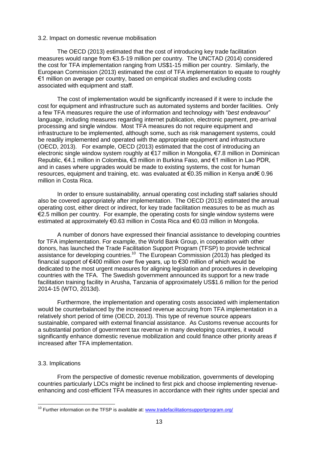#### 3.2. Impact on domestic revenue mobilisation

The OECD (2013) estimated that the cost of introducing key trade facilitation measures would range from €3.5-19 million per country. The UNCTAD (2014) considered the cost for TFA implementation ranging from US\$1-15 million per country. Similarly, the European Commission (2013) estimated the cost of TFA implementation to equate to roughly €1 million on average per country, based on empirical studies and excluding costs associated with equipment and staff.

The cost of implementation would be significantly increased if it were to include the cost for equipment and infrastructure such as automated systems and border facilities. Only a few TFA measures require the use of information and technology with "*best endeavour*" language, including measures regarding internet publication, electronic payment, pre-arrival processing and single window. Most TFA measures do not require equipment and infrastructure to be implemented, although some, such as risk management systems, could be readily implemented and operated with the appropriate equipment and infrastructure (OECD, 2013). For example, OECD (2013) estimated that the cost of introducing an electronic single window system roughly at €17 million in Mongolia, €7.8 million in Dominican Republic, €4.1 million in Colombia, €3 million in Burkina Faso, and €1 million in Lao PDR, and in cases where upgrades would be made to existing systems, the cost for human resources, equipment and training, etc. was evaluated at €0.35 million in Kenya and€ 0.96 million in Costa Rica.

In order to ensure sustainability, annual operating cost including staff salaries should also be covered appropriately after implementation. The OECD (2013) estimated the annual operating cost, either direct or indirect, for key trade facilitation measures to be as much as €2.5 million per country. For example, the operating costs for single window systems were estimated at approximately €0.63 million in Costa Rica and €0.03 million in Mongolia.

A number of donors have expressed their financial assistance to developing countries for TFA implementation. For example, the World Bank Group, in cooperation with other donors, has launched the Trade Facilitation Support Program (TFSP) to provide technical assistance for developing countries.<sup>10</sup> The European Commission (2013) has pledged its financial support of €400 million over five years, up to €30 million of which would be dedicated to the most urgent measures for aligning legislation and procedures in developing countries with the TFA. The Swedish government announced its support for a new trade facilitation training facility in Arusha, Tanzania of approximately US\$1.6 million for the period 2014-15 (WTO, 2013d).

Furthermore, the implementation and operating costs associated with implementation would be counterbalanced by the increased revenue accruing from TFA implementation in a relatively short period of time (OECD, 2013). This type of revenue source appears sustainable, compared with external financial assistance. As Customs revenue accounts for a substantial portion of government tax revenue in many developing countries, it would significantly enhance domestic revenue mobilization and could finance other priority areas if increased after TFA implementation.

### 3.3. Implications

From the perspective of domestic revenue mobilization, governments of developing countries particularly LDCs might be inclined to first pick and choose implementing revenueenhancing and cost-efficient TFA measures in accordance with their rights under special and

<sup>&</sup>lt;sup>10</sup> Further information on the TFSP is available at: [www.tradefacilitationsupportprogram.org/](http://www.tradefacilitationsupportprogram.org/)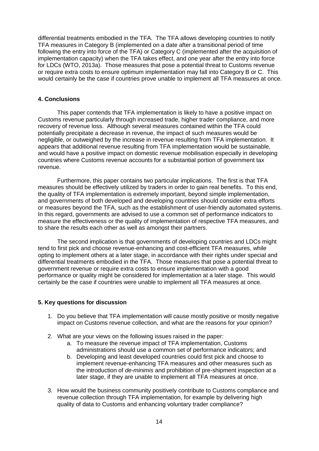differential treatments embodied in the TFA. The TFA allows developing countries to notify TFA measures in Category B (implemented on a date after a transitional period of time following the entry into force of the TFA) or Category C (implemented after the acquisition of implementation capacity) when the TFA takes effect, and one year after the entry into force for LDCs (WTO, 2013a). Those measures that pose a potential threat to Customs revenue or require extra costs to ensure optimum implementation may fall into Category B or C. This would certainly be the case if countries prove unable to implement all TFA measures at once.

## **4. Conclusions**

This paper contends that TFA implementation is likely to have a positive impact on Customs revenue particularly through increased trade, higher trader compliance, and more recovery of revenue loss. Although several measures contained within the TFA could potentially precipitate a decrease in revenue, the impact of such measures would be negligible, or outweighed by the increase in revenue resulting from TFA implementation. It appears that additional revenue resulting from TFA implementation would be sustainable, and would have a positive impact on domestic revenue mobilisation especially in developing countries where Customs revenue accounts for a substantial portion of government tax revenue.

Furthermore, this paper contains two particular implications. The first is that TFA measures should be effectively utilized by traders in order to gain real benefits. To this end, the quality of TFA implementation is extremely important, beyond simple implementation, and governments of both developed and developing countries should consider extra efforts or measures beyond the TFA, such as the establishment of user-friendly automated systems. In this regard, governments are advised to use a common set of performance indicators to measure the effectiveness or the quality of implementation of respective TFA measures, and to share the results each other as well as amongst their partners.

The second implication is that governments of developing countries and LDCs might tend to first pick and choose revenue-enhancing and cost-efficient TFA measures, while opting to implement others at a later stage, in accordance with their rights under special and differential treatments embodied in the TFA. Those measures that pose a potential threat to government revenue or require extra costs to ensure implementation with a good performance or quality might be considered for implementation at a later stage. This would certainly be the case if countries were unable to implement all TFA measures at once.

## **5. Key questions for discussion**

- 1. Do you believe that TFA implementation will cause mostly positive or mostly negative impact on Customs revenue collection, and what are the reasons for your opinion?
- 2. What are your views on the following issues raised in the paper:
	- a. To measure the revenue impact of TFA implementation, Customs administrations should use a common set of performance indicators; and
	- b. Developing and least developed countries could first pick and choose to implement revenue-enhancing TFA measures and other measures such as the introduction of *de-minimis* and prohibition of pre-shipment inspection at a later stage, if they are unable to implement all TFA measures at once.
- 3. How would the business community positively contribute to Customs compliance and revenue collection through TFA implementation, for example by delivering high quality of data to Customs and enhancing voluntary trader compliance?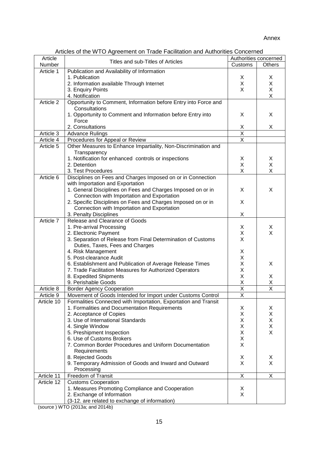## Annex

| Article    | musico or the 1110 high coment on made I domiditori dha hatrichited Concerned | Authorities concerned   |                         |
|------------|-------------------------------------------------------------------------------|-------------------------|-------------------------|
| Number     | Titles and sub-Titles of Articles                                             | Customs                 | Others                  |
| Article 1  | Publication and Availability of Information                                   |                         |                         |
|            | 1. Publication                                                                | X                       | X                       |
|            |                                                                               | X                       | X                       |
|            | 2. Information available Through Internet                                     | X                       |                         |
|            | 3. Enquiry Points                                                             |                         | X                       |
|            | 4. Notification                                                               |                         | X                       |
| Article 2  | Opportunity to Comment, Information before Entry into Force and               |                         |                         |
|            | Consultations                                                                 |                         |                         |
|            | 1. Opportunity to Comment and Information before Entry into                   | X                       | X                       |
|            | Force                                                                         |                         |                         |
|            | 2. Consultations                                                              | $\frac{X}{X}$           | X                       |
| Article 3  | <b>Advance Rulings</b>                                                        |                         |                         |
| Article 4  | Procedures for Appeal or Review                                               | $\overline{\mathsf{x}}$ |                         |
| Article 5  | Other Measures to Enhance Impartiality, Non-Discrimination and                |                         |                         |
|            | Transparency                                                                  |                         |                         |
|            | 1. Notification for enhanced controls or inspections                          | X                       | X                       |
|            | 2. Detention                                                                  | X                       | X                       |
|            | 3. Test Procedures                                                            | X                       | X                       |
| Article 6  | Disciplines on Fees and Charges Imposed on or in Connection                   |                         |                         |
|            | with Importation and Exportation                                              |                         |                         |
|            | 1. General Disciplines on Fees and Charges Imposed on or in                   | X                       | X                       |
|            | Connection with Importation and Exportation                                   |                         |                         |
|            | 2. Specific Disciplines on Fees and Charges Imposed on or in                  | X                       |                         |
|            | Connection with Importation and Exportation                                   |                         |                         |
|            | 3. Penalty Disciplines                                                        | X                       |                         |
| Article 7  | Release and Clearance of Goods                                                |                         |                         |
|            | 1. Pre-arrival Processing                                                     | X                       | X                       |
|            | 2. Electronic Payment                                                         | X                       | X                       |
|            | 3. Separation of Release from Final Determination of Customs                  | X                       |                         |
|            | Duties, Taxes, Fees and Charges                                               |                         |                         |
|            | 4. Risk Management                                                            | X                       |                         |
|            | 5. Post-clearance Audit                                                       | Χ                       |                         |
|            | 6. Establishment and Publication of Average Release Times                     | X                       | X                       |
|            | 7. Trade Facilitation Measures for Authorized Operators                       | X                       |                         |
|            | 8. Expedited Shipments                                                        | X                       | X                       |
|            | 9. Perishable Goods                                                           | X                       | Χ                       |
| Article 8  | <b>Border Agency Cooperation</b>                                              | $\overline{\mathsf{x}}$ | $\overline{\mathsf{x}}$ |
| Article 9  | Movement of Goods Intended for Import under Customs Control                   |                         |                         |
| Article 10 | Formalities Connected with Importation, Exportation and Transit               | X                       |                         |
|            | 1. Formalities and Documentation Requirements                                 | X                       | X                       |
|            | 2. Acceptance of Copies                                                       | Χ                       | Χ                       |
|            | 3. Use of International Standards                                             | Χ                       | Χ                       |
|            |                                                                               | Χ                       | X                       |
|            | 4. Single Window                                                              | X                       | X                       |
|            | 5. Preshipment Inspection                                                     | X                       |                         |
|            | 6. Use of Customs Brokers                                                     | X                       |                         |
|            | 7. Common Border Procedures and Uniform Documentation                         |                         |                         |
|            | Requirements                                                                  |                         |                         |
|            | 8. Rejected Goods                                                             | X                       | X                       |
|            | 9. Temporary Admission of Goods and Inward and Outward                        | X                       | X                       |
|            | Processing                                                                    |                         |                         |
| Article 11 | <b>Freedom of Transit</b>                                                     | X                       | X                       |
| Article 12 | <b>Customs Cooperation</b>                                                    |                         |                         |
|            | 1. Measures Promoting Compliance and Cooperation                              | X                       |                         |
|            | 2. Exchange of Information                                                    | X                       |                         |
|            | (3-12. are related to exchange of information)                                |                         |                         |

Articles of the WTO Agreement on Trade Facilitation and Authorities Concerned

(source ) WTO (2013a; and 2014b)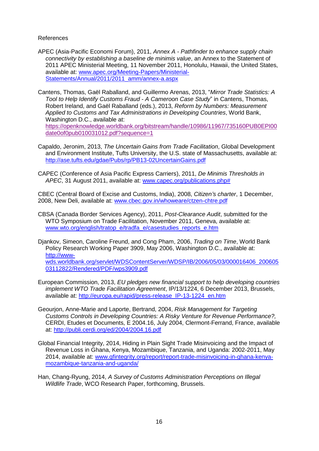## References

- APEC (Asia-Pacific Economi Forum), 2011, *Annex A - Pathfinder to enhance supply chain connectivity by establishing a baseline de minimis value*, an Annex to the Statement of 2011 APEC Ministerial Meeting, 11 November 2011, Honolulu, Hawaii, the United States, available at: [www.apec.org/Meeting-Papers/Ministerial-](http://www.apec.org/Meeting-Papers/Ministerial-Statements/Annual/2011/2011_amm/annex-a.aspx)[Statements/Annual/2011/2011\\_amm/annex-a.aspx](http://www.apec.org/Meeting-Papers/Ministerial-Statements/Annual/2011/2011_amm/annex-a.aspx)
- Cantens, Thomas, Gaël Raballand, and Guillermo Arenas, 2013, "*Mirror Trade Statistics: A Tool to Help Identify Customs Fraud - A Cameroon Case Study*" in Cantens, Thomas, Robert Ireland, and Gaël Raballand (eds.), 2013, *Reform by Numbers: Measurement Applied to Customs and Tax Administrations in Developing Countries*, World Bank, Washington D.C., available at: [https://openknowledge.worldbank.org/bitstream/handle/10986/11967/735160PUB0EPI00](https://openknowledge.worldbank.org/bitstream/handle/10986/11967/735160PUB0EPI00date0of0pub010031012.pdf?sequence=1) [date0of0pub010031012.pdf?sequence=1](https://openknowledge.worldbank.org/bitstream/handle/10986/11967/735160PUB0EPI00date0of0pub010031012.pdf?sequence=1)
- Capaldo, Jeronim, 2013, *The Uncertain Gains from Trade Facilitation*, Global Development and Environment Institute, Tufts University, the U.S. state of Massachusetts, available at: <http://ase.tufts.edu/gdae/Pubs/rp/PB13-02UncertainGains.pdf>
- CAPEC (Conference of Asia Pacific Express Carriers), 2011, *De Minimis Thresholds in APEC*, 31 August 2011, available at: [www.capec.org/publications.php#](http://www.capec.org/publications.php)

CBEC (Central Board of Excise and Customs, India), 2008, *Citizen's charter*, 1 December, 2008, New Deli, available at: [www.cbec.gov.in/whoweare/ctzen-chtre.pdf](http://www.cbec.gov.in/whoweare/ctzen-chtre.pdf)

CBSA (Canada Border Services Agency), 2011, *Post-Clearance Audit*, submitted for the WTO Symposium on Trade Facilitation, November 2011, Geneva, available at: [www.wto.org/english/tratop\\_e/tradfa\\_e/casestudies\\_reports\\_e.htm](http://www.wto.org/english/tratop_e/tradfa_e/casestudies_reports_e.htm)

Djankov, Simeon, Caroline Freund, and Cong Pham, 2006, *Trading on Time*, World Bank Policy Research Working Paper 3909, May 2006, Washington D.C., available at: [http://www](http://www-wds.worldbank.org/servlet/WDSContentServer/WDSP/IB/2006/05/03/000016406_20060503112822/Rendered/PDF/wps3909.pdf)[wds.worldbank.org/servlet/WDSContentServer/WDSP/IB/2006/05/03/000016406\\_200605](http://www-wds.worldbank.org/servlet/WDSContentServer/WDSP/IB/2006/05/03/000016406_20060503112822/Rendered/PDF/wps3909.pdf) [03112822/Rendered/PDF/wps3909.pdf](http://www-wds.worldbank.org/servlet/WDSContentServer/WDSP/IB/2006/05/03/000016406_20060503112822/Rendered/PDF/wps3909.pdf)

- European Commission, 2013, *EU pledges new financial support to help developing countries implement WTO Trade Facilitation Agreement*, IP/13/1224, 6 December 2013, Brussels, available at: [http://europa.eu/rapid/press-release\\_IP-13-1224\\_en.htm](http://europa.eu/rapid/press-release_IP-13-1224_en.htm)
- Geourjon, Anne-Marie and Laporte, Bertrand, 2004, *Risk Management for Targeting Customs Controls in Developing Countries: A Risky Venture for Revenue Performance?,* CERDI, Etudes et Documents, E 2004.16, July 2004, Clermont-Ferrand, France, available at:<http://publi.cerdi.org/ed/2004/2004.16.pdf>
- Global Financial Integrity, 2014, Hiding in Plain Sight Trade Misinvoicing and the Impact of Revenue Loss in Ghana, Kenya, Mozambique, Tanzania, and Uganda: 2002-2011, May 2014, available at: [www.gfintegrity.org/report/report-trade-misinvoicing-in-ghana-kenya](http://www.gfintegrity.org/report/report-trade-misinvoicing-in-ghana-kenya-mozambique-tanzania-and-uganda/)[mozambique-tanzania-and-uganda/](http://www.gfintegrity.org/report/report-trade-misinvoicing-in-ghana-kenya-mozambique-tanzania-and-uganda/)
- Han, Chang-Ryung, 2014, *A Survey of Customs Administration Perceptions on Illegal Wildlife Trade*, WCO Research Paper, forthcoming, Brussels.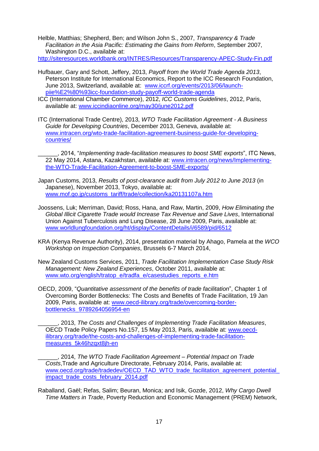Helble, Matthias; Shepherd, Ben; and Wilson John S., 2007, *Transparency & Trade Facilitation in the Asia Pacific: Estimating the Gains from Reform*, September 2007, Washington D.C., available at: <http://siteresources.worldbank.org/INTRES/Resources/Transparency-APEC-Study-Fin.pdf>

- Hufbauer, Gary and Schott, Jeffery, 2013, *Payoff from the World Trade Agenda 2013*, Peterson Institute for International Economics, Report to the ICC Research Foundation, June 2013, Switzerland, available at: [www.iccrf.org/events/2013/06/launch](http://www.iccrf.org/events/2013/06/launch-piie%E2%80%93icc-foundation-study-payoff-world-trade-agenda)[piie%E2%80%93icc-foundation-study-payoff-world-trade-agenda](http://www.iccrf.org/events/2013/06/launch-piie%E2%80%93icc-foundation-study-payoff-world-trade-agenda)
- ICC (International Chamber Commerce), 2012, *ICC Customs Guidelines*, 2012, Paris, available at: [www.iccindiaonline.org/may30/june2012.pdf](http://www.iccindiaonline.org/may30/june2012.pdf)
- ITC (International Trade Centre), 2013, *WTO Trade Facilitation Agreement - A Business Guide for Developing Countries*, December 2013, Geneva, available at: [www.intracen.org/wto-trade-facilitation-agreement-business-guide-for-developing](http://www.intracen.org/wto-trade-facilitation-agreement-business-guide-for-developing-countries/)[countries/](http://www.intracen.org/wto-trade-facilitation-agreement-business-guide-for-developing-countries/)
	- \_\_\_\_\_\_, 2014, "*Implementing trade-facilitation measures to boost SME exports*", ITC News, 22 May 2014, Astana, Kazakhstan, available at: [www.intracen.org/news/Implementing](http://www.intracen.org/news/Implementing-the-WTO-Trade-Facilitation-Agreement-to-boost-SME-exports/)[the-WTO-Trade-Facilitation-Agreement-to-boost-SME-exports/](http://www.intracen.org/news/Implementing-the-WTO-Trade-Facilitation-Agreement-to-boost-SME-exports/)
- Japan Customs, 2013, *Results of post-clearance audit from July 2012 to June 2013* (in Japanese), November 2013, Tokyo, available at: [www.mof.go.jp/customs\\_tariff/trade/collection/ka20131107a.htm](http://www.mof.go.jp/customs_tariff/trade/collection/ka20131107a.htm)
- Joossens, Luk; Merriman, David; Ross, Hana, and Raw, Martin, 2009, *How Eliminating the Global Illicit Cigarette Trade would Increase Tax Revenue and Save Lives*, International Union Against Tuberculosis and Lung Disease, 28 June 2009, Paris, available at: [www.worldlungfoundation.org/ht/display/ContentDetails/i/6589/pid/6512](http://www.worldlungfoundation.org/ht/display/ContentDetails/i/6589/pid/6512)
- KRA (Kenya Revenue Authority), 2014, presentation material by Ahago, Pamela at the *WCO Workshop on Inspection Companies*, Brussels 6-7 March 2014,
- New Zealand Customs Services, 2011, *Trade Facilitation Implementation Case Study Risk Management: New Zealand Experiences*, October 2011, available at: [www.wto.org/english/tratop\\_e/tradfa\\_e/casestudies\\_reports\\_e.htm](http://www.wto.org/english/tratop_e/tradfa_e/casestudies_reports_e.htm)
- OECD, 2009, "*Quantitative assessment of the benefits of trade facilitation*", Chapter 1 of Overcoming Border Bottlenecks: The Costs and Benefits of Trade Facilitation, 19 Jan 2009, Paris, available at: [www.oecd-ilibrary.org/trade/overcoming-border](http://www.oecd-ilibrary.org/trade/overcoming-border-bottlenecks_9789264056954-en)[bottlenecks\\_9789264056954-en](http://www.oecd-ilibrary.org/trade/overcoming-border-bottlenecks_9789264056954-en)

\_\_\_\_\_\_, 2013, *The Costs and Challenges of Implementing Trade Facilitation Measures*, OECD Trade Policy Papers No.157, 15 May 2013, Paris, available at: [www.oecd](http://www.oecd-ilibrary.org/trade/the-costs-and-challenges-of-implementing-trade-facilitation-measures_5k46hzqxt8jh-en)[ilibrary.org/trade/the-costs-and-challenges-of-implementing-trade-facilitation](http://www.oecd-ilibrary.org/trade/the-costs-and-challenges-of-implementing-trade-facilitation-measures_5k46hzqxt8jh-en)[measures\\_5k46hzqxt8jh-en](http://www.oecd-ilibrary.org/trade/the-costs-and-challenges-of-implementing-trade-facilitation-measures_5k46hzqxt8jh-en)

\_\_\_\_\_\_, 2014, *The WTO Trade Facilitation Agreement – Potential Impact on Trade Costs*,Trade and Agriculture Directorate, February 2014, Paris, available at: [www.oecd.org/trade/tradedev/OECD\\_TAD\\_WTO\\_trade\\_facilitation\\_agreement\\_potential\\_](http://www.oecd.org/trade/tradedev/OECD_TAD_WTO_trade_facilitation_agreement_potential_impact_trade_costs_february_2014.pdf) impact trade\_costs\_february\_2014.pdf

Raballand, Gaël; Refas, Salim; Beuran, Monica; and Isik, Gozde, 2012, *Why Cargo Dwell Time Matters in Trade*, Poverty Reduction and Economic Management (PREM) Network,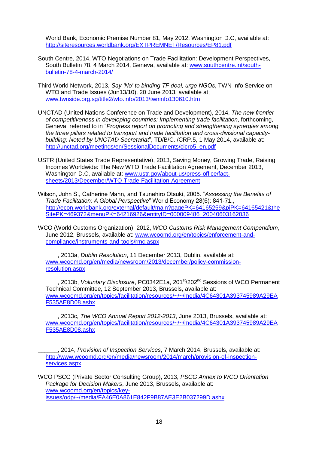World Bank, Economic Premise Number 81, May 2012, Washington D.C, available at: <http://siteresources.worldbank.org/EXTPREMNET/Resources/EP81.pdf>

- South Centre, 2014, WTO Negotiations on Trade Facilitation: Development Perspectives, South Bulletin 78, 4 March 2014, Geneva, available at: [www.southcentre.int/south](http://www.southcentre.int/south-bulletin-78-4-march-2014/)[bulletin-78-4-march-2014/](http://www.southcentre.int/south-bulletin-78-4-march-2014/)
- Third World Network, 2013, *Say 'No' to binding TF deal, urge NGOs*, TWN Info Service on WTO and Trade Issues (Jun13/10), 20 June 2013, available at; [www.twnside.org.sg/title2/wto.info/2013/twninfo130610.htm](http://www.twnside.org.sg/title2/wto.info/2013/twninfo130610.htm)
- UNCTAD (United Nations Conference on Trade and Development), 2014, *The new frontier of competitiveness in developing countries: Implementing trade facilitation*, forthcoming, Geneva, referred to in "*Progress report on promoting and strengthening synergies among the three pillars related to transport and trade facilitation and cross-divisional capacitybuilding: Noted by UNCTAD Secretariat*", TD/B/C.I/CRP.5, 1 May 2014, available at: [http://unctad.org/meetings/en/SessionalDocuments/cicrp5\\_en.pdf](http://unctad.org/meetings/en/SessionalDocuments/cicrp5_en.pdf)
- USTR (United States Trade Representative), 2013, Saving Money, Growing Trade, Raising Incomes Worldwide: The New WTO Trade Facilitation Agreement, December 2013, Washington D.C, available at: [www.ustr.gov/about-us/press-office/fact](http://www.ustr.gov/about-us/press-office/fact-sheets/2013/December/WTO-Trade-Facilitation-Agreement)[sheets/2013/December/WTO-Trade-Facilitation-Agreement](http://www.ustr.gov/about-us/press-office/fact-sheets/2013/December/WTO-Trade-Facilitation-Agreement)
- Wilson, John S., Catherine Mann, and Tsunehiro Otsuki, 2005. "*Assessing the Benefits of Trade Facilitation: A Global Perspective*" World Economy 28(6): 841-71., [http://econ.worldbank.org/external/default/main?pagePK=64165259&piPK=64165421&the](http://econ.worldbank.org/external/default/main?pagePK=64165259&piPK=64165421&theSitePK=469372&menuPK=64216926&entityID=000009486_20040603162036) [SitePK=469372&menuPK=64216926&entityID=000009486\\_20040603162036](http://econ.worldbank.org/external/default/main?pagePK=64165259&piPK=64165421&theSitePK=469372&menuPK=64216926&entityID=000009486_20040603162036)
- WCO (World Customs Organization), 2012, *WCO Customs Risk Management Compendium*, June 2012, Brussels, available at: [www.wcoomd.org/en/topics/enforcement-and](http://www.wcoomd.org/en/topics/enforcement-and-compliance/instruments-and-tools/rmc.aspx)[compliance/instruments-and-tools/rmc.aspx](http://www.wcoomd.org/en/topics/enforcement-and-compliance/instruments-and-tools/rmc.aspx)
	- \_\_\_\_\_\_, 2013a, *Dublin Resolution*, 11 December 2013, Dublin, available at: [www.wcoomd.org/en/media/newsroom/2013/december/policy-commission](http://www.wcoomd.org/en/media/newsroom/2013/december/policy-commission-resolution.aspx)[resolution.aspx](http://www.wcoomd.org/en/media/newsroom/2013/december/policy-commission-resolution.aspx)
	- \_\_\_\_\_\_, 2013b, *Voluntary Disclosure*, PC0342E1a, 201st/202nd Sessions of WCO Permanent Technical Committee, 12 September 2013, Brussels, available at: [www.wcoomd.org/en/topics/facilitation/resources/~/~/media/4C64301A393745989A29EA](http://www.wcoomd.org/en/topics/facilitation/resources/~/~/media/4C64301A393745989A29EAF535AE8D08.ashx) [F535AE8D08.ashx](http://www.wcoomd.org/en/topics/facilitation/resources/~/~/media/4C64301A393745989A29EAF535AE8D08.ashx)
	- \_\_\_\_\_\_, 2013c, *The WCO Annual Report 2012-2013*, June 2013, Brussels, available at: [www.wcoomd.org/en/topics/facilitation/resources/~/~/media/4C64301A393745989A29EA](http://www.wcoomd.org/en/topics/facilitation/resources/~/~/media/4C64301A393745989A29EAF535AE8D08.ashx) [F535AE8D08.ashx](http://www.wcoomd.org/en/topics/facilitation/resources/~/~/media/4C64301A393745989A29EAF535AE8D08.ashx)
	- \_\_\_\_\_\_, 2014, *Provision of Inspection Services*, 7 March 2014, Brussels, available at: [http://www.wcoomd.org/en/media/newsroom/2014/march/provision-of-inspection](http://www.wcoomd.org/en/media/newsroom/2014/march/provision-of-inspection-services.aspx)[services.aspx](http://www.wcoomd.org/en/media/newsroom/2014/march/provision-of-inspection-services.aspx)
- WCO PSCG (Private Sector Consulting Group), 2013, *PSCG Annex to WCO Orientation Package for Decision Makers*, June 2013, Brussels, available at: [www.wcoomd.org/en/topics/key](http://www.wcoomd.org/en/topics/key-issues/odp/~/media/FA46E0A861E842F9B87AE3E2B037299D.ashx)[issues/odp/~/media/FA46E0A861E842F9B87AE3E2B037299D.ashx](http://www.wcoomd.org/en/topics/key-issues/odp/~/media/FA46E0A861E842F9B87AE3E2B037299D.ashx)